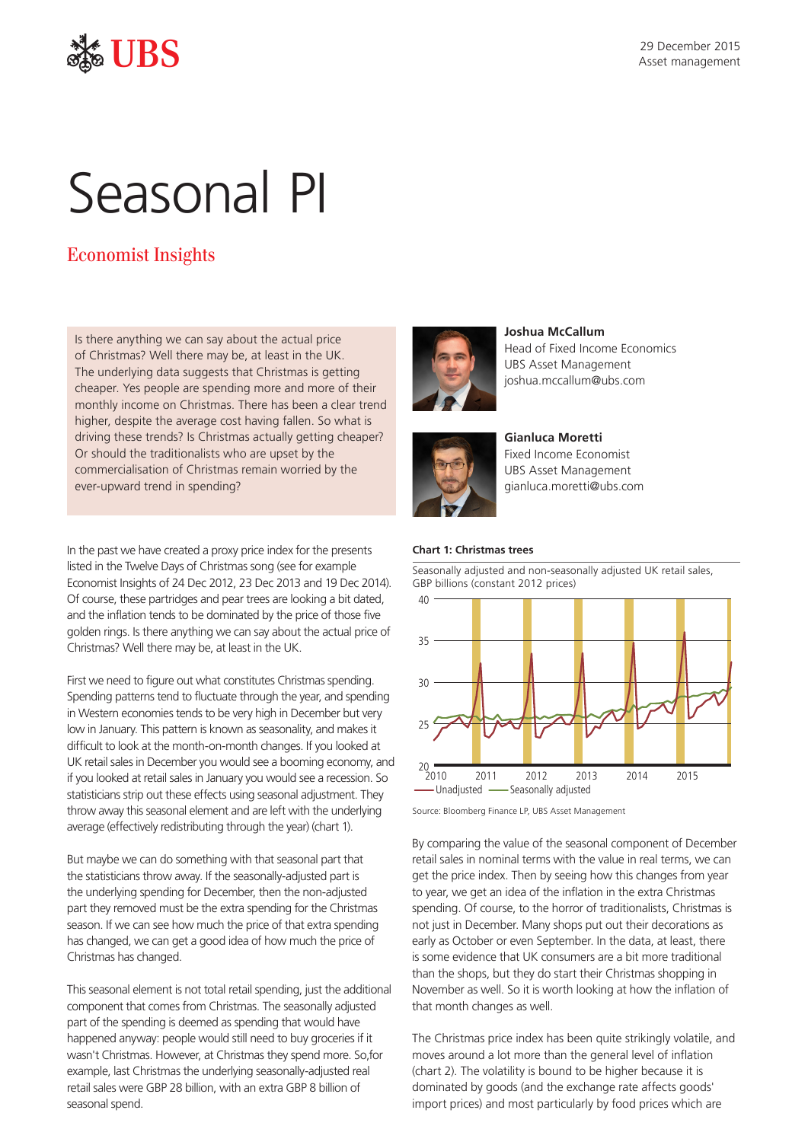

## UBS

# Seasonal PI

### Economist Insights

Is there anything we can say about the actual price of Christmas? Well there may be, at least in the UK. The underlying data suggests that Christmas is getting cheaper. Yes people are spending more and more of their monthly income on Christmas. There has been a clear trend higher, despite the average cost having fallen. So what is driving these trends? Is Christmas actually getting cheaper? Or should the traditionalists who are upset by the commercialisation of Christmas remain worried by the ever-upward trend in spending?

In the past we have created a proxy price index for the presents listed in the Twelve Days of Christmas song (see for example Economist Insights of 24 Dec 2012, 23 Dec 2013 and 19 Dec 2014). Of course, these partridges and pear trees are looking a bit dated, and the inflation tends to be dominated by the price of those five golden rings. Is there anything we can say about the actual price of Christmas? Well there may be, at least in the UK.

First we need to figure out what constitutes Christmas spending. Spending patterns tend to fluctuate through the year, and spending in Western economies tends to be very high in December but very low in January. This pattern is known as seasonality, and makes it difficult to look at the month-on-month changes. If you looked at UK retail sales in December you would see a booming economy, and if you looked at retail sales in January you would see a recession. So statisticians strip out these effects using seasonal adjustment. They throw away this seasonal element and are left with the underlying average (effectively redistributing through the year) (chart 1).

But maybe we can do something with that seasonal part that the statisticians throw away. If the seasonally-adjusted part is the underlying spending for December, then the non-adjusted part they removed must be the extra spending for the Christmas season. If we can see how much the price of that extra spending has changed, we can get a good idea of how much the price of Christmas has changed.

This seasonal element is not total retail spending, just the additional component that comes from Christmas. The seasonally adjusted part of the spending is deemed as spending that would have happened anyway: people would still need to buy groceries if it wasn't Christmas. However, at Christmas they spend more. So,for example, last Christmas the underlying seasonally-adjusted real retail sales were GBP 28 billion, with an extra GBP 8 billion of seasonal spend.



**Joshua McCallum** Head of Fixed Income Economics UBS Asset Management joshua.mccallum@ubs.com



**Gianluca Moretti**  Fixed Income Economist UBS Asset Management gianluca.moretti@ubs.com

#### **Chart 1: Christmas trees**



Seasonally adjusted and non-seasonally adjusted UK retail sales, GBP billions (constant 2012 prices)

Source: Bloomberg Finance LP, UBS Asset Management

By comparing the value of the seasonal component of December retail sales in nominal terms with the value in real terms, we can get the price index. Then by seeing how this changes from year to year, we get an idea of the inflation in the extra Christmas spending. Of course, to the horror of traditionalists, Christmas is not just in December. Many shops put out their decorations as early as October or even September. In the data, at least, there is some evidence that UK consumers are a bit more traditional than the shops, but they do start their Christmas shopping in November as well. So it is worth looking at how the inflation of that month changes as well.

The Christmas price index has been quite strikingly volatile, and moves around a lot more than the general level of inflation (chart 2). The volatility is bound to be higher because it is dominated by goods (and the exchange rate affects goods' import prices) and most particularly by food prices which are